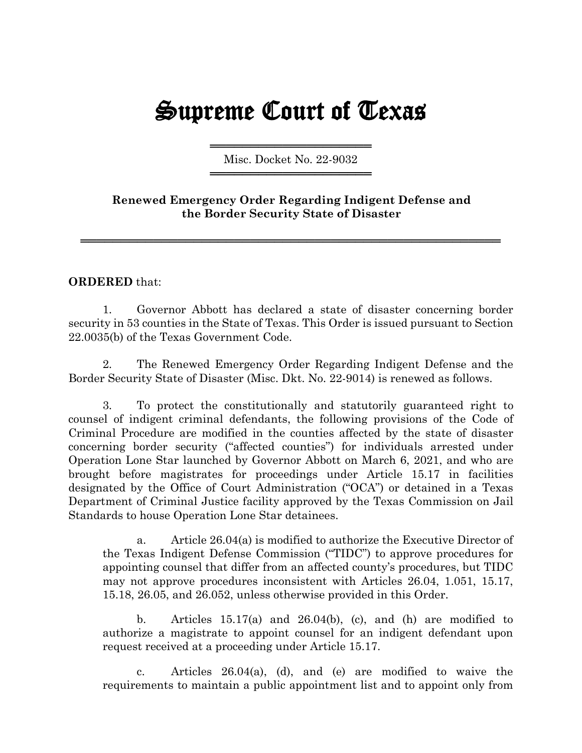## Supreme Court of Texas

═════════════════════════════════════ Misc. Docket No. 22-9032 ═════════════════════════════════════

**Renewed Emergency Order Regarding Indigent Defense and the Border Security State of Disaster**

════════════════════════════════════════════════════

## **ORDERED** that:

1. Governor Abbott has declared a state of disaster concerning border security in 53 counties in the State of Texas. This Order is issued pursuant to Section 22.0035(b) of the Texas Government Code.

2. The Renewed Emergency Order Regarding Indigent Defense and the Border Security State of Disaster (Misc. Dkt. No. 22-9014) is renewed as follows.

3. To protect the constitutionally and statutorily guaranteed right to counsel of indigent criminal defendants, the following provisions of the Code of Criminal Procedure are modified in the counties affected by the state of disaster concerning border security ("affected counties") for individuals arrested under Operation Lone Star launched by Governor Abbott on March 6, 2021, and who are brought before magistrates for proceedings under Article 15.17 in facilities designated by the Office of Court Administration ("OCA") or detained in a Texas Department of Criminal Justice facility approved by the Texas Commission on Jail Standards to house Operation Lone Star detainees.

a. Article 26.04(a) is modified to authorize the Executive Director of the Texas Indigent Defense Commission ("TIDC") to approve procedures for appointing counsel that differ from an affected county's procedures, but TIDC may not approve procedures inconsistent with Articles 26.04, 1.051, 15.17, 15.18, 26.05, and 26.052, unless otherwise provided in this Order.

b. Articles 15.17(a) and 26.04(b), (c), and (h) are modified to authorize a magistrate to appoint counsel for an indigent defendant upon request received at a proceeding under Article 15.17.

c. Articles 26.04(a), (d), and (e) are modified to waive the requirements to maintain a public appointment list and to appoint only from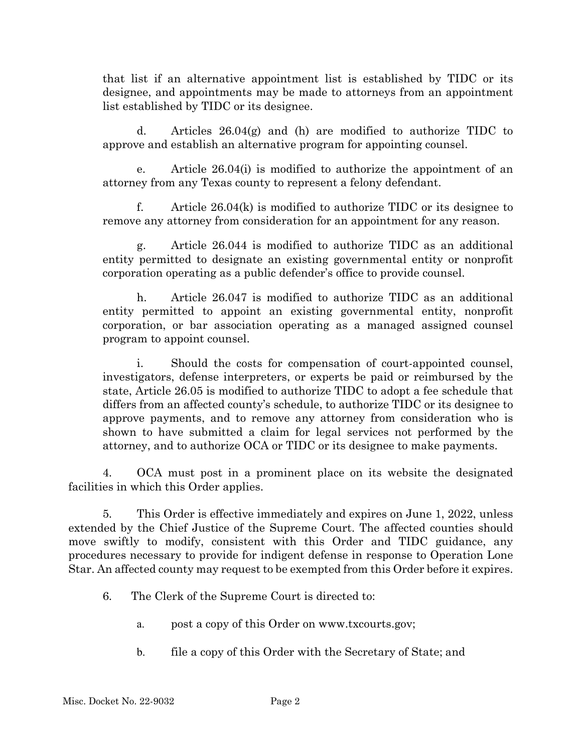that list if an alternative appointment list is established by TIDC or its designee, and appointments may be made to attorneys from an appointment list established by TIDC or its designee.

d. Articles  $26.04(g)$  and (h) are modified to authorize TIDC to approve and establish an alternative program for appointing counsel.

e. Article 26.04(i) is modified to authorize the appointment of an attorney from any Texas county to represent a felony defendant.

f. Article 26.04(k) is modified to authorize TIDC or its designee to remove any attorney from consideration for an appointment for any reason.

g. Article 26.044 is modified to authorize TIDC as an additional entity permitted to designate an existing governmental entity or nonprofit corporation operating as a public defender's office to provide counsel.

h. Article 26.047 is modified to authorize TIDC as an additional entity permitted to appoint an existing governmental entity, nonprofit corporation, or bar association operating as a managed assigned counsel program to appoint counsel.

i. Should the costs for compensation of court-appointed counsel, investigators, defense interpreters, or experts be paid or reimbursed by the state, Article 26.05 is modified to authorize TIDC to adopt a fee schedule that differs from an affected county's schedule, to authorize TIDC or its designee to approve payments, and to remove any attorney from consideration who is shown to have submitted a claim for legal services not performed by the attorney, and to authorize OCA or TIDC or its designee to make payments.

4. OCA must post in a prominent place on its website the designated facilities in which this Order applies.

5. This Order is effective immediately and expires on June 1, 2022, unless extended by the Chief Justice of the Supreme Court. The affected counties should move swiftly to modify, consistent with this Order and TIDC guidance, any procedures necessary to provide for indigent defense in response to Operation Lone Star. An affected county may request to be exempted from this Order before it expires.

- 6. The Clerk of the Supreme Court is directed to:
	- a. post a copy of this Order on www.txcourts.gov;
	- b. file a copy of this Order with the Secretary of State; and